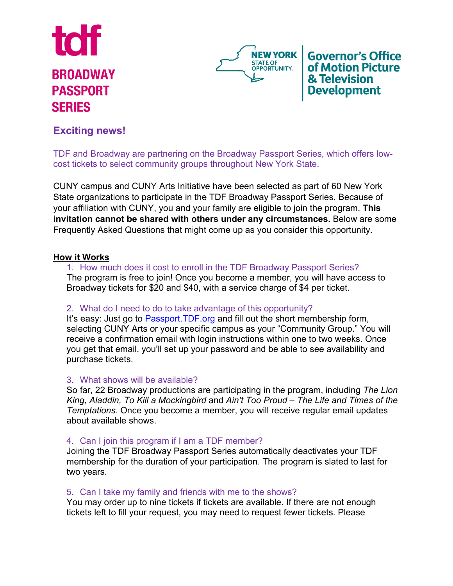



**Governor's Office** of Motion Picture & Television **Development** 

# **Exciting news!**

TDF and Broadway are partnering on the Broadway Passport Series, which offers lowcost tickets to select community groups throughout New York State.

CUNY campus and CUNY Arts Initiative have been selected as part of 60 New York State organizations to participate in the TDF Broadway Passport Series. Because of your affiliation with CUNY, you and your family are eligible to join the program. **This invitation cannot be shared with others under any circumstances.** Below are some Frequently Asked Questions that might come up as you consider this opportunity.

# **How it Works**

1. How much does it cost to enroll in the TDF Broadway Passport Series? The program is free to join! Once you become a member, you will have access to Broadway tickets for \$20 and \$40, with a service charge of \$4 per ticket.

# 2. What do I need to do to take advantage of this opportunity?

It's easy: Just go to Passport. TDF org and fill out the short membership form, selecting CUNY Arts or your specific campus as your "Community Group." You will receive a confirmation email with login instructions within one to two weeks. Once you get that email, you'll set up your password and be able to see availability and purchase tickets.

# 3. What shows will be available?

So far, 22 Broadway productions are participating in the program, including *The Lion King*, *Aladdin, To Kill a Mockingbird* and *Ain't Too Proud – The Life and Times of the Temptations*. Once you become a member, you will receive regular email updates about available shows.

# 4. Can I join this program if I am a TDF member?

Joining the TDF Broadway Passport Series automatically deactivates your TDF membership for the duration of your participation. The program is slated to last for two years.

# 5. Can I take my family and friends with me to the shows?

You may order up to nine tickets if tickets are available. If there are not enough tickets left to fill your request, you may need to request fewer tickets. Please